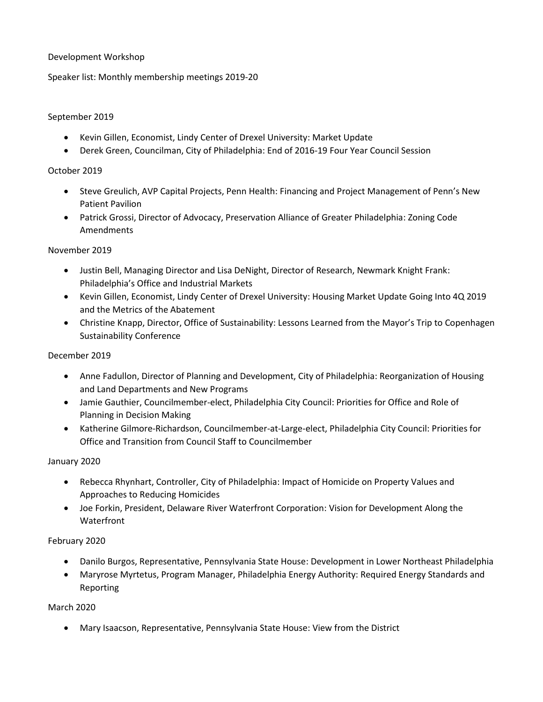## Development Workshop

Speaker list: Monthly membership meetings 2019-20

## September 2019

- Kevin Gillen, Economist, Lindy Center of Drexel University: Market Update
- Derek Green, Councilman, City of Philadelphia: End of 2016-19 Four Year Council Session

## October 2019

- Steve Greulich, AVP Capital Projects, Penn Health: Financing and Project Management of Penn's New Patient Pavilion
- Patrick Grossi, Director of Advocacy, Preservation Alliance of Greater Philadelphia: Zoning Code Amendments

#### November 2019

- Justin Bell, Managing Director and Lisa DeNight, Director of Research, Newmark Knight Frank: Philadelphia's Office and Industrial Markets
- Kevin Gillen, Economist, Lindy Center of Drexel University: Housing Market Update Going Into 4Q 2019 and the Metrics of the Abatement
- Christine Knapp, Director, Office of Sustainability: Lessons Learned from the Mayor's Trip to Copenhagen Sustainability Conference

## December 2019

- Anne Fadullon, Director of Planning and Development, City of Philadelphia: Reorganization of Housing and Land Departments and New Programs
- Jamie Gauthier, Councilmember-elect, Philadelphia City Council: Priorities for Office and Role of Planning in Decision Making
- Katherine Gilmore-Richardson, Councilmember-at-Large-elect, Philadelphia City Council: Priorities for Office and Transition from Council Staff to Councilmember

#### January 2020

- Rebecca Rhynhart, Controller, City of Philadelphia: Impact of Homicide on Property Values and Approaches to Reducing Homicides
- Joe Forkin, President, Delaware River Waterfront Corporation: Vision for Development Along the **Waterfront**

#### February 2020

- Danilo Burgos, Representative, Pennsylvania State House: Development in Lower Northeast Philadelphia
- Maryrose Myrtetus, Program Manager, Philadelphia Energy Authority: Required Energy Standards and Reporting

#### March 2020

Mary Isaacson, Representative, Pennsylvania State House: View from the District